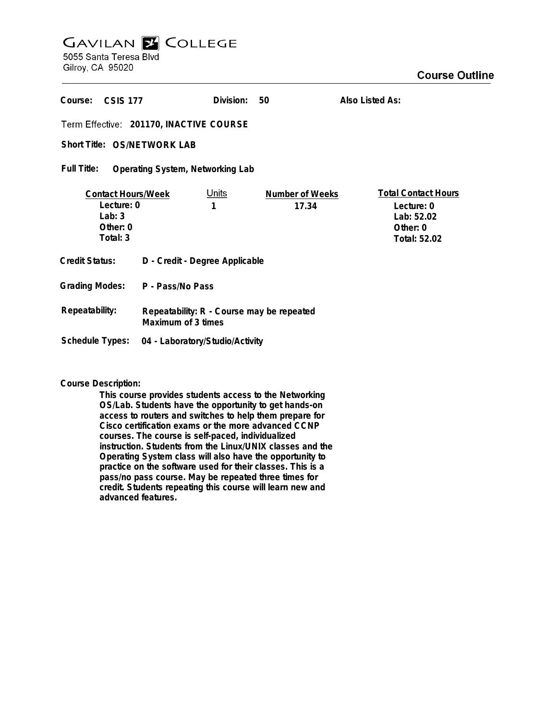## **GAVILAN Z COLLEGE** 5055 Santa Teresa Blvd

Gilroy, CA 95020

| Course:<br><b>CSIS 177</b>                                                    |                                                                 | Division:         | 50                              | Also Listed As:                                                                    |
|-------------------------------------------------------------------------------|-----------------------------------------------------------------|-------------------|---------------------------------|------------------------------------------------------------------------------------|
| Term Effective: 201170, INACTIVE COURSE                                       |                                                                 |                   |                                 |                                                                                    |
| Short Title: OS/NETWORK LAB                                                   |                                                                 |                   |                                 |                                                                                    |
| Full Title:<br>Operating System, Networking Lab                               |                                                                 |                   |                                 |                                                                                    |
| <b>Contact Hours/Week</b><br>Lecture: 0<br>Lab: $3$<br>Other: $0$<br>Total: 3 |                                                                 | <u>Units</u><br>1 | <b>Number of Weeks</b><br>17.34 | <b>Total Contact Hours</b><br>Lecture: 0<br>Lab: 52.02<br>Other: 0<br>Total: 52.02 |
| Credit Status:                                                                | D - Credit - Degree Applicable                                  |                   |                                 |                                                                                    |
| Grading Modes:                                                                | P - Pass/No Pass                                                |                   |                                 |                                                                                    |
| Repeatability:                                                                | Repeatability: R - Course may be repeated<br>Maximum of 3 times |                   |                                 |                                                                                    |
| Schedule Types:                                                               | 04 - Laboratory/Studio/Activity                                 |                   |                                 |                                                                                    |

## **Course Description:**

**This course provides students access to the Networking OS/Lab. Students have the opportunity to get hands-on access to routers and switches to help them prepare for Cisco certification exams or the more advanced CCNP courses. The course is self-paced, individualized instruction. Students from the Linux/UNIX classes and the Operating System class will also have the opportunity to practice on the software used for their classes. This is a pass/no pass course. May be repeated three times for credit. Students repeating this course will learn new and advanced features.**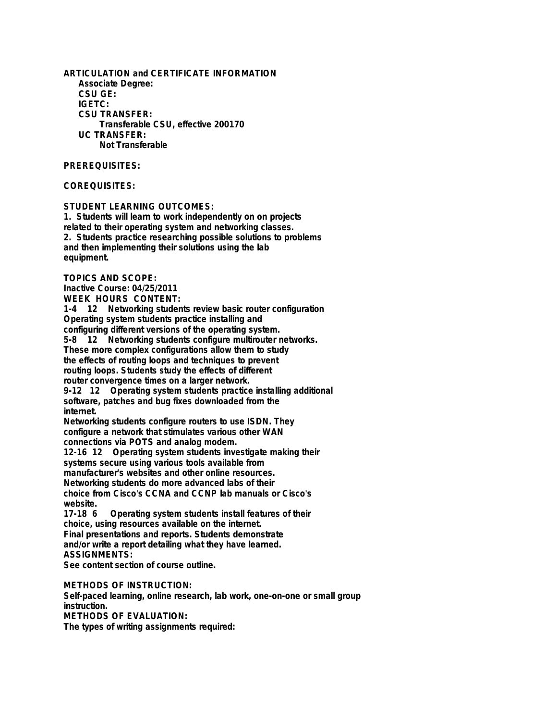**ARTICULATION and CERTIFICATE INFORMATION Associate Degree: CSU GE: IGETC: CSU TRANSFER: Transferable CSU, effective 200170 UC TRANSFER: Not Transferable**

**PREREQUISITES:**

**COREQUISITES:**

**STUDENT LEARNING OUTCOMES:**

**1. Students will learn to work independently on on projects related to their operating system and networking classes. 2. Students practice researching possible solutions to problems and then implementing their solutions using the lab equipment.**

**TOPICS AND SCOPE:**

**Inactive Course: 04/25/2011 WEEK HOURS CONTENT:**

**1-4 12 Networking students review basic router configuration Operating system students practice installing and configuring different versions of the operating system.**

**5-8 12 Networking students configure multirouter networks. These more complex configurations allow them to study the effects of routing loops and techniques to prevent routing loops. Students study the effects of different router convergence times on a larger network.**

**9-12 12 Operating system students practice installing additional software, patches and bug fixes downloaded from the internet.**

**Networking students configure routers to use ISDN. They configure a network that stimulates various other WAN connections via POTS and analog modem.**

**12-16 12 Operating system students investigate making their systems secure using various tools available from manufacturer's websites and other online resources. Networking students do more advanced labs of their choice from Cisco's CCNA and CCNP lab manuals or Cisco's website.**

**17-18 6 Operating system students install features of their choice, using resources available on the internet. Final presentations and reports. Students demonstrate and/or write a report detailing what they have learned. ASSIGNMENTS:**

**See content section of course outline.**

**METHODS OF INSTRUCTION:**

**Self-paced learning, online research, lab work, one-on-one or small group instruction.**

**METHODS OF EVALUATION:**

**The types of writing assignments required:**